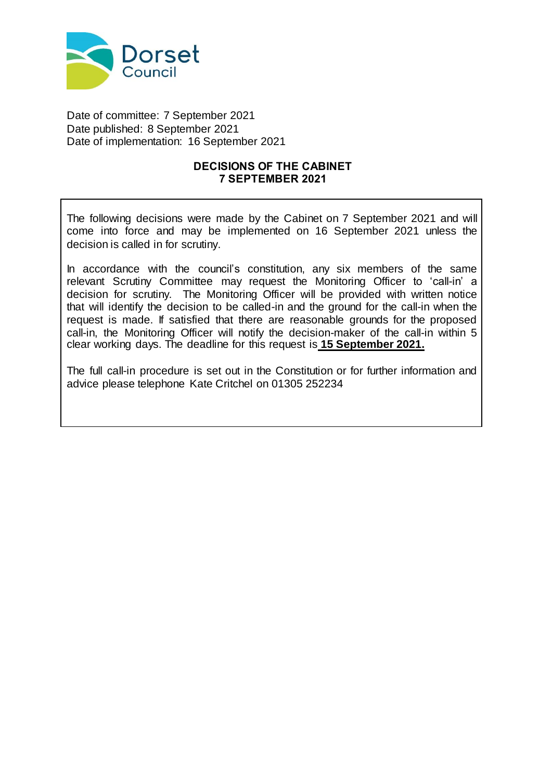

Date of committee: 7 September 2021 Date published: 8 September 2021 Date of implementation: 16 September 2021

### **DECISIONS OF THE CABINET 7 SEPTEMBER 2021**

The following decisions were made by the Cabinet on 7 September 2021 and will come into force and may be implemented on 16 September 2021 unless the decision is called in for scrutiny.

In accordance with the council's constitution, any six members of the same relevant Scrutiny Committee may request the Monitoring Officer to 'call-in' a decision for scrutiny. The Monitoring Officer will be provided with written notice that will identify the decision to be called-in and the ground for the call-in when the request is made. If satisfied that there are reasonable grounds for the proposed call-in, the Monitoring Officer will notify the decision-maker of the call-in within 5 clear working days. The deadline for this request is **15 September 2021.**

The full call-in procedure is set out in the Constitution or for further information and advice please telephone Kate Critchel on 01305 252234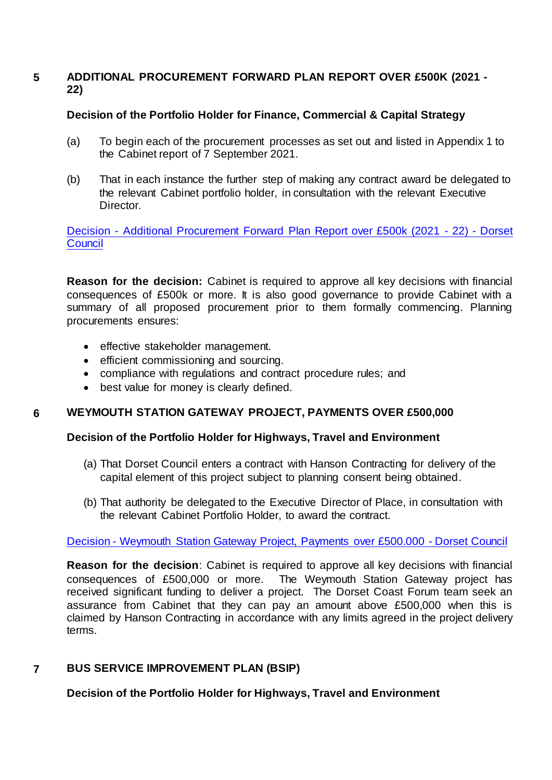## **5 ADDITIONAL PROCUREMENT FORWARD PLAN REPORT OVER £500K (2021 - 22)**

## **Decision of the Portfolio Holder for Finance, Commercial & Capital Strategy**

- (a) To begin each of the procurement processes as set out and listed in Appendix 1 to the Cabinet report of 7 September 2021.
- (b) That in each instance the further step of making any contract award be delegated to the relevant Cabinet portfolio holder, in consultation with the relevant Executive Director.

Decision - [Additional Procurement Forward Plan Report over £500k \(2021 -](https://moderngov.dorsetcouncil.gov.uk/ieDecisionDetails.aspx?ID=688) 22) - Dorset **[Council](https://moderngov.dorsetcouncil.gov.uk/ieDecisionDetails.aspx?ID=688)** 

**Reason for the decision:** Cabinet is required to approve all key decisions with financial consequences of £500k or more. It is also good governance to provide Cabinet with a summary of all proposed procurement prior to them formally commencing. Planning procurements ensures:

- effective stakeholder management.
- **•** efficient commissioning and sourcing.
- compliance with regulations and contract procedure rules; and
- best value for money is clearly defined.

# **6 WEYMOUTH STATION GATEWAY PROJECT, PAYMENTS OVER £500,000**

## **Decision of the Portfolio Holder for Highways, Travel and Environment**

- (a) That Dorset Council enters a contract with Hanson Contracting for delivery of the capital element of this project subject to planning consent being obtained.
- (b) That authority be delegated to the Executive Director of Place, in consultation with the relevant Cabinet Portfolio Holder, to award the contract.

## Decision - [Weymouth Station Gateway Project, Payments over £500.000 -](https://moderngov.dorsetcouncil.gov.uk/ieDecisionDetails.aspx?ID=686) Dorset Council

**Reason for the decision**: Cabinet is required to approve all key decisions with financial consequences of £500,000 or more. The Weymouth Station Gateway project has received significant funding to deliver a project. The Dorset Coast Forum team seek an assurance from Cabinet that they can pay an amount above £500,000 when this is claimed by Hanson Contracting in accordance with any limits agreed in the project delivery terms.

# **7 BUS SERVICE IMPROVEMENT PLAN (BSIP)**

**Decision of the Portfolio Holder for Highways, Travel and Environment**